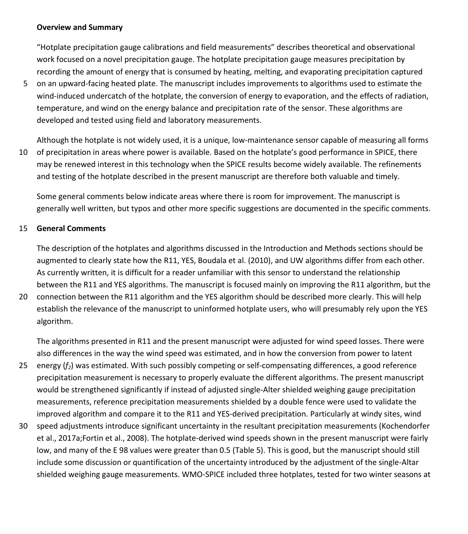## **Overview and Summary**

"Hotplate precipitation gauge calibrations and field measurements" describes theoretical and observational work focused on a novel precipitation gauge. The hotplate precipitation gauge measures precipitation by recording the amount of energy that is consumed by heating, melting, and evaporating precipitation captured

5 on an upward-facing heated plate. The manuscript includes improvements to algorithms used to estimate the wind-induced undercatch of the hotplate, the conversion of energy to evaporation, and the effects of radiation, temperature, and wind on the energy balance and precipitation rate of the sensor. These algorithms are developed and tested using field and laboratory measurements.

Although the hotplate is not widely used, it is a unique, low-maintenance sensor capable of measuring all forms 10 of precipitation in areas where power is available. Based on the hotplate's good performance in SPICE, there may be renewed interest in this technology when the SPICE results become widely available. The refinements and testing of the hotplate described in the present manuscript are therefore both valuable and timely.

Some general comments below indicate areas where there is room for improvement. The manuscript is generally well written, but typos and other more specific suggestions are documented in the specific comments.

## 15 **General Comments**

The description of the hotplates and algorithms discussed in the Introduction and Methods sections should be augmented to clearly state how the R11, YES, Boudala et al. (2010), and UW algorithms differ from each other. As currently written, it is difficult for a reader unfamiliar with this sensor to understand the relationship between the R11 and YES algorithms. The manuscript is focused mainly on improving the R11 algorithm, but the

20 connection between the R11 algorithm and the YES algorithm should be described more clearly. This will help establish the relevance of the manuscript to uninformed hotplate users, who will presumably rely upon the YES algorithm.

The algorithms presented in R11 and the present manuscript were adjusted for wind speed losses. There were also differences in the way the wind speed was estimated, and in how the conversion from power to latent

- 25 energy (*f2*) was estimated. With such possibly competing or self-compensating differences, a good reference precipitation measurement is necessary to properly evaluate the different algorithms. The present manuscript would be strengthened significantly if instead of adjusted single-Alter shielded weighing gauge precipitation measurements, reference precipitation measurements shielded by a double fence were used to validate the improved algorithm and compare it to the R11 and YES-derived precipitation. Particularly at windy sites, wind
- 30 speed adjustments introduce significant uncertainty in the resultant precipitation measurements (Kochendorfer et al., 2017a;Fortin et al., 2008). The hotplate-derived wind speeds shown in the present manuscript were fairly low, and many of the E 98 values were greater than 0.5 (Table 5). This is good, but the manuscript should still include some discussion or quantification of the uncertainty introduced by the adjustment of the single-Altar shielded weighing gauge measurements. WMO-SPICE included three hotplates, tested for two winter seasons at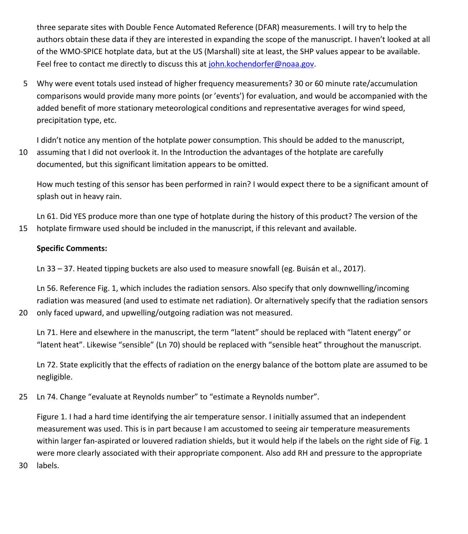three separate sites with Double Fence Automated Reference (DFAR) measurements. I will try to help the authors obtain these data if they are interested in expanding the scope of the manuscript. I haven't looked at all of the WMO-SPICE hotplate data, but at the US (Marshall) site at least, the SHP values appear to be available. Feel free to contact me directly to discuss this a[t john.kochendorfer@noaa.gov.](mailto:john.kochendorfer@noaa.gov)

5 Why were event totals used instead of higher frequency measurements? 30 or 60 minute rate/accumulation comparisons would provide many more points (or 'events') for evaluation, and would be accompanied with the added benefit of more stationary meteorological conditions and representative averages for wind speed, precipitation type, etc.

I didn't notice any mention of the hotplate power consumption. This should be added to the manuscript,

10 assuming that I did not overlook it. In the Introduction the advantages of the hotplate are carefully documented, but this significant limitation appears to be omitted.

How much testing of this sensor has been performed in rain? I would expect there to be a significant amount of splash out in heavy rain.

Ln 61. Did YES produce more than one type of hotplate during the history of this product? The version of the 15 hotplate firmware used should be included in the manuscript, if this relevant and available.

## **Specific Comments:**

Ln 33 – 37. Heated tipping buckets are also used to measure snowfall (eg. Buisán et al., 2017).

Ln 56. Reference Fig. 1, which includes the radiation sensors. Also specify that only downwelling/incoming radiation was measured (and used to estimate net radiation). Or alternatively specify that the radiation sensors 20 only faced upward, and upwelling/outgoing radiation was not measured.

Ln 71. Here and elsewhere in the manuscript, the term "latent" should be replaced with "latent energy" or "latent heat". Likewise "sensible" (Ln 70) should be replaced with "sensible heat" throughout the manuscript.

Ln 72. State explicitly that the effects of radiation on the energy balance of the bottom plate are assumed to be negligible.

25 Ln 74. Change "evaluate at Reynolds number" to "estimate a Reynolds number".

Figure 1. I had a hard time identifying the air temperature sensor. I initially assumed that an independent measurement was used. This is in part because I am accustomed to seeing air temperature measurements within larger fan-aspirated or louvered radiation shields, but it would help if the labels on the right side of Fig. 1 were more clearly associated with their appropriate component. Also add RH and pressure to the appropriate

30 labels.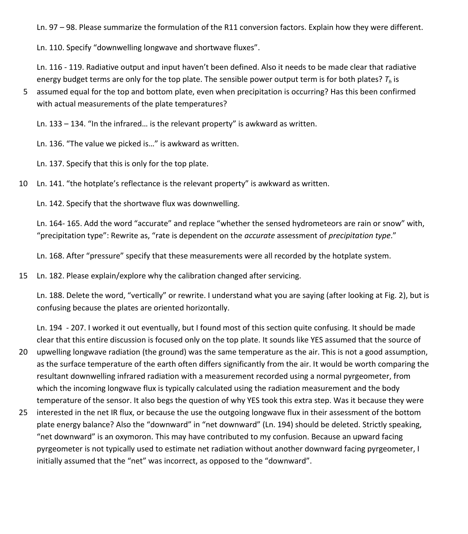Ln. 97 – 98. Please summarize the formulation of the R11 conversion factors. Explain how they were different.

Ln. 110. Specify "downwelling longwave and shortwave fluxes".

Ln. 116 - 119. Radiative output and input haven't been defined. Also it needs to be made clear that radiative energy budget terms are only for the top plate. The sensible power output term is for both plates? *T<sup>h</sup>* is

5 assumed equal for the top and bottom plate, even when precipitation is occurring? Has this been confirmed with actual measurements of the plate temperatures?

Ln. 133 – 134. "In the infrared… is the relevant property" is awkward as written.

Ln. 136. "The value we picked is…" is awkward as written.

Ln. 137. Specify that this is only for the top plate.

10 Ln. 141. "the hotplate's reflectance is the relevant property" is awkward as written.

Ln. 142. Specify that the shortwave flux was downwelling.

Ln. 164- 165. Add the word "accurate" and replace "whether the sensed hydrometeors are rain or snow" with, "precipitation type": Rewrite as, "rate is dependent on the *accurate* assessment of *precipitation type*."

Ln. 168. After "pressure" specify that these measurements were all recorded by the hotplate system.

15 Ln. 182. Please explain/explore why the calibration changed after servicing.

Ln. 188. Delete the word, "vertically" or rewrite. I understand what you are saying (after looking at Fig. 2), but is confusing because the plates are oriented horizontally.

Ln. 194 - 207. I worked it out eventually, but I found most of this section quite confusing. It should be made clear that this entire discussion is focused only on the top plate. It sounds like YES assumed that the source of

- 20 upwelling longwave radiation (the ground) was the same temperature as the air. This is not a good assumption, as the surface temperature of the earth often differs significantly from the air. It would be worth comparing the resultant downwelling infrared radiation with a measurement recorded using a normal pyrgeometer, from which the incoming longwave flux is typically calculated using the radiation measurement and the body temperature of the sensor. It also begs the question of why YES took this extra step. Was it because they were
- 25 interested in the net IR flux, or because the use the outgoing longwave flux in their assessment of the bottom plate energy balance? Also the "downward" in "net downward" (Ln. 194) should be deleted. Strictly speaking, "net downward" is an oxymoron. This may have contributed to my confusion. Because an upward facing pyrgeometer is not typically used to estimate net radiation without another downward facing pyrgeometer, I initially assumed that the "net" was incorrect, as opposed to the "downward".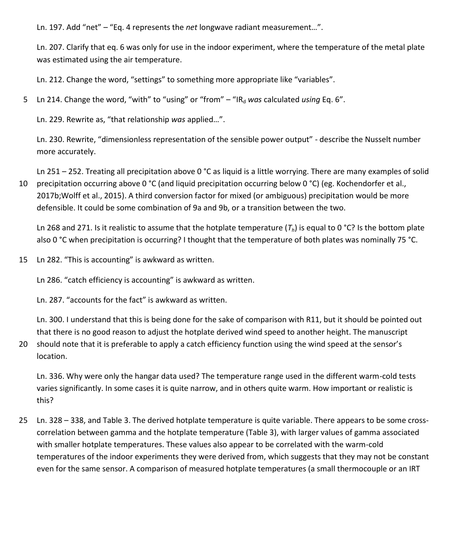Ln. 197. Add "net" – "Eq. 4 represents the *net* longwave radiant measurement…".

Ln. 207. Clarify that eq. 6 was only for use in the indoor experiment, where the temperature of the metal plate was estimated using the air temperature.

Ln. 212. Change the word, "settings" to something more appropriate like "variables".

5 Ln 214. Change the word, "with" to "using" or "from" – "IR<sub>d</sub> was calculated *using* Eq. 6".

Ln. 229. Rewrite as, "that relationship *was* applied…".

Ln. 230. Rewrite, "dimensionless representation of the sensible power output" - describe the Nusselt number more accurately.

Ln 251 – 252. Treating all precipitation above 0 °C as liquid is a little worrying. There are many examples of solid 10 precipitation occurring above 0 °C (and liquid precipitation occurring below 0 °C) (eg. Kochendorfer et al.,

2017b;Wolff et al., 2015). A third conversion factor for mixed (or ambiguous) precipitation would be more defensible. It could be some combination of 9a and 9b, or a transition between the two.

Ln 268 and 271. Is it realistic to assume that the hotplate temperature  $(T_h)$  is equal to 0 °C? Is the bottom plate also 0 °C when precipitation is occurring? I thought that the temperature of both plates was nominally 75 °C.

15 Ln 282. "This is accounting" is awkward as written.

Ln 286. "catch efficiency is accounting" is awkward as written.

Ln. 287. "accounts for the fact" is awkward as written.

Ln. 300. I understand that this is being done for the sake of comparison with R11, but it should be pointed out that there is no good reason to adjust the hotplate derived wind speed to another height. The manuscript

20 should note that it is preferable to apply a catch efficiency function using the wind speed at the sensor's location.

Ln. 336. Why were only the hangar data used? The temperature range used in the different warm-cold tests varies significantly. In some cases it is quite narrow, and in others quite warm. How important or realistic is this?

25 Ln. 328 – 338, and Table 3. The derived hotplate temperature is quite variable. There appears to be some crosscorrelation between gamma and the hotplate temperature (Table 3), with larger values of gamma associated with smaller hotplate temperatures. These values also appear to be correlated with the warm-cold temperatures of the indoor experiments they were derived from, which suggests that they may not be constant even for the same sensor. A comparison of measured hotplate temperatures (a small thermocouple or an IRT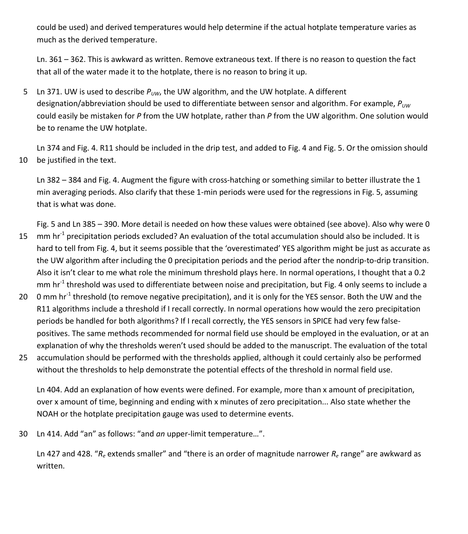could be used) and derived temperatures would help determine if the actual hotplate temperature varies as much as the derived temperature.

Ln. 361 – 362. This is awkward as written. Remove extraneous text. If there is no reason to question the fact that all of the water made it to the hotplate, there is no reason to bring it up.

5 Ln 371. UW is used to describe  $P_{U/W}$ , the UW algorithm, and the UW hotplate. A different designation/abbreviation should be used to differentiate between sensor and algorithm. For example, *PUW* could easily be mistaken for *P* from the UW hotplate, rather than *P* from the UW algorithm. One solution would be to rename the UW hotplate.

Ln 374 and Fig. 4. R11 should be included in the drip test, and added to Fig. 4 and Fig. 5. Or the omission should 10 be justified in the text.

Ln 382 – 384 and Fig. 4. Augment the figure with cross-hatching or something similar to better illustrate the 1 min averaging periods. Also clarify that these 1-min periods were used for the regressions in Fig. 5, assuming that is what was done.

Fig. 5 and Ln 385 – 390. More detail is needed on how these values were obtained (see above). Also why were 0

- 15  $\,$  mm hr<sup>-1</sup> precipitation periods excluded? An evaluation of the total accumulation should also be included. It is hard to tell from Fig. 4, but it seems possible that the 'overestimated' YES algorithm might be just as accurate as the UW algorithm after including the 0 precipitation periods and the period after the nondrip-to-drip transition. Also it isn't clear to me what role the minimum threshold plays here. In normal operations, I thought that a 0.2 mm hr<sup>-1</sup> threshold was used to differentiate between noise and precipitation, but Fig. 4 only seems to include a
- 20 Omm hr<sup>-1</sup> threshold (to remove negative precipitation), and it is only for the YES sensor. Both the UW and the R11 algorithms include a threshold if I recall correctly. In normal operations how would the zero precipitation periods be handled for both algorithms? If I recall correctly, the YES sensors in SPICE had very few falsepositives. The same methods recommended for normal field use should be employed in the evaluation, or at an explanation of why the thresholds weren't used should be added to the manuscript. The evaluation of the total
- 25 accumulation should be performed with the thresholds applied, although it could certainly also be performed without the thresholds to help demonstrate the potential effects of the threshold in normal field use.

Ln 404. Add an explanation of how events were defined. For example, more than x amount of precipitation, over x amount of time, beginning and ending with x minutes of zero precipitation... Also state whether the NOAH or the hotplate precipitation gauge was used to determine events.

30 Ln 414. Add "an" as follows: "and *an* upper-limit temperature…".

Ln 427 and 428. "*R<sup>e</sup>* extends smaller" and "there is an order of magnitude narrower *R<sup>e</sup>* range" are awkward as written.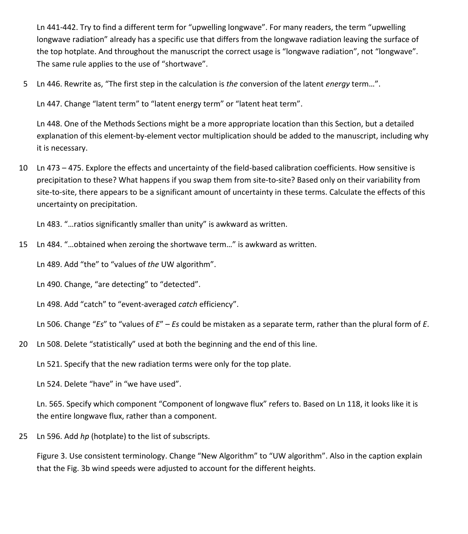Ln 441-442. Try to find a different term for "upwelling longwave". For many readers, the term "upwelling longwave radiation" already has a specific use that differs from the longwave radiation leaving the surface of the top hotplate. And throughout the manuscript the correct usage is "longwave radiation", not "longwave". The same rule applies to the use of "shortwave".

5 Ln 446. Rewrite as, "The first step in the calculation is *the* conversion of the latent *energy* term…".

Ln 447. Change "latent term" to "latent energy term" or "latent heat term".

Ln 448. One of the Methods Sections might be a more appropriate location than this Section, but a detailed explanation of this element-by-element vector multiplication should be added to the manuscript, including why it is necessary.

10 Ln 473 – 475. Explore the effects and uncertainty of the field-based calibration coefficients. How sensitive is precipitation to these? What happens if you swap them from site-to-site? Based only on their variability from site-to-site, there appears to be a significant amount of uncertainty in these terms. Calculate the effects of this uncertainty on precipitation.

Ln 483. "…ratios significantly smaller than unity" is awkward as written.

15 Ln 484. "…obtained when zeroing the shortwave term…" is awkward as written.

Ln 489. Add "the" to "values of *the* UW algorithm".

Ln 490. Change, "are detecting" to "detected".

Ln 498. Add "catch" to "event-averaged *catch* efficiency".

Ln 506. Change "*Es*" to "values of *E*" – *Es* could be mistaken as a separate term, rather than the plural form of *E*.

20 Ln 508. Delete "statistically" used at both the beginning and the end of this line.

Ln 521. Specify that the new radiation terms were only for the top plate.

Ln 524. Delete "have" in "we have used".

Ln. 565. Specify which component "Component of longwave flux" refers to. Based on Ln 118, it looks like it is the entire longwave flux, rather than a component.

25 Ln 596. Add *hp* (hotplate) to the list of subscripts.

Figure 3. Use consistent terminology. Change "New Algorithm" to "UW algorithm". Also in the caption explain that the Fig. 3b wind speeds were adjusted to account for the different heights.